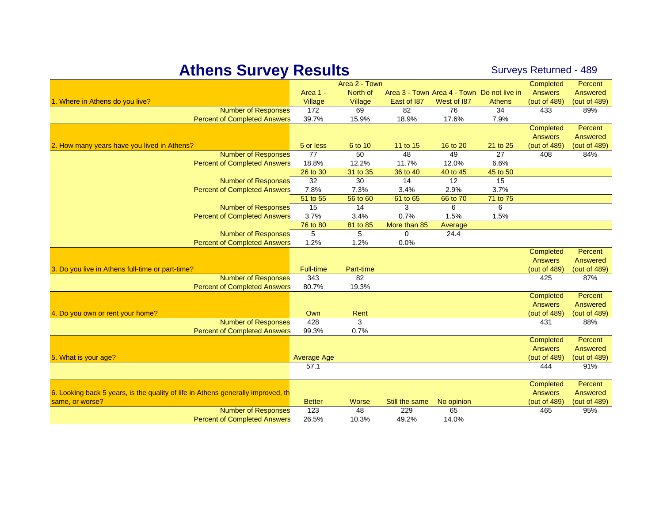## Athens Survey Results Surveys Returned - 489

| Area 1 -<br>North of<br>Area 3 - Town Area 4 - Town Do not live in<br><b>Answers</b><br>Answered<br>1. Where in Athens do you live?<br>Village<br>East of 187<br>West of 187<br>(out of 489)<br>(out of 489)<br>Village<br><b>Athens</b><br><b>Number of Responses</b><br>172<br>69<br>82<br>76<br>89%<br>34<br>433<br>39.7%<br><b>Percent of Completed Answers</b><br>15.9%<br>18.9%<br>17.6%<br>7.9%<br>Completed<br>Percent<br>Answered<br><b>Answers</b><br>2. How many years have you lived in Athens?<br>5 or less<br>(out of 489)<br>(out of 489)<br>6 to 10<br>11 to 15<br>16 to 20<br>21 to 25<br><b>Number of Responses</b><br>77<br>50<br>48<br>49<br>84%<br>27<br>408<br><b>Percent of Completed Answers</b><br>18.8%<br>12.2%<br>11.7%<br>12.0%<br>6.6%<br>26 to 30<br>31 to 35<br>36 to 40<br>40 to 45<br>45 to 50<br><b>Number of Responses</b><br>32<br>30<br>14<br>12<br>15<br>7.3%<br>3.7%<br><b>Percent of Completed Answers</b><br>7.8%<br>3.4%<br>2.9%<br>51 to 55<br>66 to 70<br>71 to 75<br>56 to 60<br>61 to 65<br>15<br><b>Number of Responses</b><br>14<br>3<br>6<br>6<br>3.7%<br>0.7%<br>1.5%<br>1.5%<br><b>Percent of Completed Answers</b><br>3.4%<br>76 to 80<br>81 to 85<br>More than 85<br>Average<br>5<br>5<br><b>Number of Responses</b><br>$\Omega$<br>24.4<br><b>Percent of Completed Answers</b><br>1.2%<br>1.2%<br>0.0%<br>Completed<br>Percent<br><b>Answers</b><br>Answered<br><b>Full-time</b><br>3. Do you live in Athens full-time or part-time?<br>Part-time<br>(out of 489)<br>(out of 489)<br><b>Number of Responses</b><br>343<br>82<br>425<br>87%<br>80.7%<br><b>Percent of Completed Answers</b><br>19.3%<br>Completed<br>Percent<br><b>Answers</b><br>Answered<br>Own<br>Rent<br>(out of 489)<br>4. Do you own or rent your home?<br>(out of 489)<br><b>Number of Responses</b><br>428<br>3<br>431<br>88%<br><b>Percent of Completed Answers</b><br>0.7%<br>99.3%<br>Percent<br>Completed<br><b>Answers</b><br>Answered<br>(out of 489)<br>5. What is your age?<br><b>Average Age</b><br>(out of 489)<br>91%<br>57.1<br>444<br>Completed<br>Percent<br>6. Looking back 5 years, is the quality of life in Athens generally improved, the<br><b>Answers</b><br>Answered<br><b>Better</b><br><b>Worse</b><br>Still the same<br>No opinion<br>(out of 489)<br>(out of 489)<br>same, or worse?<br><b>Number of Responses</b><br>123<br>65<br>48<br>229<br>95%<br>465 |                                     |       | Area 2 - Town |       |       | Completed | Percent |
|--------------------------------------------------------------------------------------------------------------------------------------------------------------------------------------------------------------------------------------------------------------------------------------------------------------------------------------------------------------------------------------------------------------------------------------------------------------------------------------------------------------------------------------------------------------------------------------------------------------------------------------------------------------------------------------------------------------------------------------------------------------------------------------------------------------------------------------------------------------------------------------------------------------------------------------------------------------------------------------------------------------------------------------------------------------------------------------------------------------------------------------------------------------------------------------------------------------------------------------------------------------------------------------------------------------------------------------------------------------------------------------------------------------------------------------------------------------------------------------------------------------------------------------------------------------------------------------------------------------------------------------------------------------------------------------------------------------------------------------------------------------------------------------------------------------------------------------------------------------------------------------------------------------------------------------------------------------------------------------------------------------------------------------------------------------------------------------------------------------------------------------------------------------------------------------------------------------------------------------------------------------------------------------------------------------------------------------------------------------------------------------------------------------------|-------------------------------------|-------|---------------|-------|-------|-----------|---------|
|                                                                                                                                                                                                                                                                                                                                                                                                                                                                                                                                                                                                                                                                                                                                                                                                                                                                                                                                                                                                                                                                                                                                                                                                                                                                                                                                                                                                                                                                                                                                                                                                                                                                                                                                                                                                                                                                                                                                                                                                                                                                                                                                                                                                                                                                                                                                                                                                                    |                                     |       |               |       |       |           |         |
|                                                                                                                                                                                                                                                                                                                                                                                                                                                                                                                                                                                                                                                                                                                                                                                                                                                                                                                                                                                                                                                                                                                                                                                                                                                                                                                                                                                                                                                                                                                                                                                                                                                                                                                                                                                                                                                                                                                                                                                                                                                                                                                                                                                                                                                                                                                                                                                                                    |                                     |       |               |       |       |           |         |
|                                                                                                                                                                                                                                                                                                                                                                                                                                                                                                                                                                                                                                                                                                                                                                                                                                                                                                                                                                                                                                                                                                                                                                                                                                                                                                                                                                                                                                                                                                                                                                                                                                                                                                                                                                                                                                                                                                                                                                                                                                                                                                                                                                                                                                                                                                                                                                                                                    |                                     |       |               |       |       |           |         |
|                                                                                                                                                                                                                                                                                                                                                                                                                                                                                                                                                                                                                                                                                                                                                                                                                                                                                                                                                                                                                                                                                                                                                                                                                                                                                                                                                                                                                                                                                                                                                                                                                                                                                                                                                                                                                                                                                                                                                                                                                                                                                                                                                                                                                                                                                                                                                                                                                    |                                     |       |               |       |       |           |         |
|                                                                                                                                                                                                                                                                                                                                                                                                                                                                                                                                                                                                                                                                                                                                                                                                                                                                                                                                                                                                                                                                                                                                                                                                                                                                                                                                                                                                                                                                                                                                                                                                                                                                                                                                                                                                                                                                                                                                                                                                                                                                                                                                                                                                                                                                                                                                                                                                                    |                                     |       |               |       |       |           |         |
|                                                                                                                                                                                                                                                                                                                                                                                                                                                                                                                                                                                                                                                                                                                                                                                                                                                                                                                                                                                                                                                                                                                                                                                                                                                                                                                                                                                                                                                                                                                                                                                                                                                                                                                                                                                                                                                                                                                                                                                                                                                                                                                                                                                                                                                                                                                                                                                                                    |                                     |       |               |       |       |           |         |
|                                                                                                                                                                                                                                                                                                                                                                                                                                                                                                                                                                                                                                                                                                                                                                                                                                                                                                                                                                                                                                                                                                                                                                                                                                                                                                                                                                                                                                                                                                                                                                                                                                                                                                                                                                                                                                                                                                                                                                                                                                                                                                                                                                                                                                                                                                                                                                                                                    |                                     |       |               |       |       |           |         |
|                                                                                                                                                                                                                                                                                                                                                                                                                                                                                                                                                                                                                                                                                                                                                                                                                                                                                                                                                                                                                                                                                                                                                                                                                                                                                                                                                                                                                                                                                                                                                                                                                                                                                                                                                                                                                                                                                                                                                                                                                                                                                                                                                                                                                                                                                                                                                                                                                    |                                     |       |               |       |       |           |         |
|                                                                                                                                                                                                                                                                                                                                                                                                                                                                                                                                                                                                                                                                                                                                                                                                                                                                                                                                                                                                                                                                                                                                                                                                                                                                                                                                                                                                                                                                                                                                                                                                                                                                                                                                                                                                                                                                                                                                                                                                                                                                                                                                                                                                                                                                                                                                                                                                                    |                                     |       |               |       |       |           |         |
|                                                                                                                                                                                                                                                                                                                                                                                                                                                                                                                                                                                                                                                                                                                                                                                                                                                                                                                                                                                                                                                                                                                                                                                                                                                                                                                                                                                                                                                                                                                                                                                                                                                                                                                                                                                                                                                                                                                                                                                                                                                                                                                                                                                                                                                                                                                                                                                                                    |                                     |       |               |       |       |           |         |
|                                                                                                                                                                                                                                                                                                                                                                                                                                                                                                                                                                                                                                                                                                                                                                                                                                                                                                                                                                                                                                                                                                                                                                                                                                                                                                                                                                                                                                                                                                                                                                                                                                                                                                                                                                                                                                                                                                                                                                                                                                                                                                                                                                                                                                                                                                                                                                                                                    |                                     |       |               |       |       |           |         |
|                                                                                                                                                                                                                                                                                                                                                                                                                                                                                                                                                                                                                                                                                                                                                                                                                                                                                                                                                                                                                                                                                                                                                                                                                                                                                                                                                                                                                                                                                                                                                                                                                                                                                                                                                                                                                                                                                                                                                                                                                                                                                                                                                                                                                                                                                                                                                                                                                    |                                     |       |               |       |       |           |         |
|                                                                                                                                                                                                                                                                                                                                                                                                                                                                                                                                                                                                                                                                                                                                                                                                                                                                                                                                                                                                                                                                                                                                                                                                                                                                                                                                                                                                                                                                                                                                                                                                                                                                                                                                                                                                                                                                                                                                                                                                                                                                                                                                                                                                                                                                                                                                                                                                                    |                                     |       |               |       |       |           |         |
|                                                                                                                                                                                                                                                                                                                                                                                                                                                                                                                                                                                                                                                                                                                                                                                                                                                                                                                                                                                                                                                                                                                                                                                                                                                                                                                                                                                                                                                                                                                                                                                                                                                                                                                                                                                                                                                                                                                                                                                                                                                                                                                                                                                                                                                                                                                                                                                                                    |                                     |       |               |       |       |           |         |
|                                                                                                                                                                                                                                                                                                                                                                                                                                                                                                                                                                                                                                                                                                                                                                                                                                                                                                                                                                                                                                                                                                                                                                                                                                                                                                                                                                                                                                                                                                                                                                                                                                                                                                                                                                                                                                                                                                                                                                                                                                                                                                                                                                                                                                                                                                                                                                                                                    |                                     |       |               |       |       |           |         |
|                                                                                                                                                                                                                                                                                                                                                                                                                                                                                                                                                                                                                                                                                                                                                                                                                                                                                                                                                                                                                                                                                                                                                                                                                                                                                                                                                                                                                                                                                                                                                                                                                                                                                                                                                                                                                                                                                                                                                                                                                                                                                                                                                                                                                                                                                                                                                                                                                    |                                     |       |               |       |       |           |         |
|                                                                                                                                                                                                                                                                                                                                                                                                                                                                                                                                                                                                                                                                                                                                                                                                                                                                                                                                                                                                                                                                                                                                                                                                                                                                                                                                                                                                                                                                                                                                                                                                                                                                                                                                                                                                                                                                                                                                                                                                                                                                                                                                                                                                                                                                                                                                                                                                                    |                                     |       |               |       |       |           |         |
|                                                                                                                                                                                                                                                                                                                                                                                                                                                                                                                                                                                                                                                                                                                                                                                                                                                                                                                                                                                                                                                                                                                                                                                                                                                                                                                                                                                                                                                                                                                                                                                                                                                                                                                                                                                                                                                                                                                                                                                                                                                                                                                                                                                                                                                                                                                                                                                                                    |                                     |       |               |       |       |           |         |
|                                                                                                                                                                                                                                                                                                                                                                                                                                                                                                                                                                                                                                                                                                                                                                                                                                                                                                                                                                                                                                                                                                                                                                                                                                                                                                                                                                                                                                                                                                                                                                                                                                                                                                                                                                                                                                                                                                                                                                                                                                                                                                                                                                                                                                                                                                                                                                                                                    |                                     |       |               |       |       |           |         |
|                                                                                                                                                                                                                                                                                                                                                                                                                                                                                                                                                                                                                                                                                                                                                                                                                                                                                                                                                                                                                                                                                                                                                                                                                                                                                                                                                                                                                                                                                                                                                                                                                                                                                                                                                                                                                                                                                                                                                                                                                                                                                                                                                                                                                                                                                                                                                                                                                    |                                     |       |               |       |       |           |         |
|                                                                                                                                                                                                                                                                                                                                                                                                                                                                                                                                                                                                                                                                                                                                                                                                                                                                                                                                                                                                                                                                                                                                                                                                                                                                                                                                                                                                                                                                                                                                                                                                                                                                                                                                                                                                                                                                                                                                                                                                                                                                                                                                                                                                                                                                                                                                                                                                                    |                                     |       |               |       |       |           |         |
|                                                                                                                                                                                                                                                                                                                                                                                                                                                                                                                                                                                                                                                                                                                                                                                                                                                                                                                                                                                                                                                                                                                                                                                                                                                                                                                                                                                                                                                                                                                                                                                                                                                                                                                                                                                                                                                                                                                                                                                                                                                                                                                                                                                                                                                                                                                                                                                                                    |                                     |       |               |       |       |           |         |
|                                                                                                                                                                                                                                                                                                                                                                                                                                                                                                                                                                                                                                                                                                                                                                                                                                                                                                                                                                                                                                                                                                                                                                                                                                                                                                                                                                                                                                                                                                                                                                                                                                                                                                                                                                                                                                                                                                                                                                                                                                                                                                                                                                                                                                                                                                                                                                                                                    |                                     |       |               |       |       |           |         |
|                                                                                                                                                                                                                                                                                                                                                                                                                                                                                                                                                                                                                                                                                                                                                                                                                                                                                                                                                                                                                                                                                                                                                                                                                                                                                                                                                                                                                                                                                                                                                                                                                                                                                                                                                                                                                                                                                                                                                                                                                                                                                                                                                                                                                                                                                                                                                                                                                    |                                     |       |               |       |       |           |         |
|                                                                                                                                                                                                                                                                                                                                                                                                                                                                                                                                                                                                                                                                                                                                                                                                                                                                                                                                                                                                                                                                                                                                                                                                                                                                                                                                                                                                                                                                                                                                                                                                                                                                                                                                                                                                                                                                                                                                                                                                                                                                                                                                                                                                                                                                                                                                                                                                                    |                                     |       |               |       |       |           |         |
|                                                                                                                                                                                                                                                                                                                                                                                                                                                                                                                                                                                                                                                                                                                                                                                                                                                                                                                                                                                                                                                                                                                                                                                                                                                                                                                                                                                                                                                                                                                                                                                                                                                                                                                                                                                                                                                                                                                                                                                                                                                                                                                                                                                                                                                                                                                                                                                                                    |                                     |       |               |       |       |           |         |
|                                                                                                                                                                                                                                                                                                                                                                                                                                                                                                                                                                                                                                                                                                                                                                                                                                                                                                                                                                                                                                                                                                                                                                                                                                                                                                                                                                                                                                                                                                                                                                                                                                                                                                                                                                                                                                                                                                                                                                                                                                                                                                                                                                                                                                                                                                                                                                                                                    |                                     |       |               |       |       |           |         |
|                                                                                                                                                                                                                                                                                                                                                                                                                                                                                                                                                                                                                                                                                                                                                                                                                                                                                                                                                                                                                                                                                                                                                                                                                                                                                                                                                                                                                                                                                                                                                                                                                                                                                                                                                                                                                                                                                                                                                                                                                                                                                                                                                                                                                                                                                                                                                                                                                    |                                     |       |               |       |       |           |         |
|                                                                                                                                                                                                                                                                                                                                                                                                                                                                                                                                                                                                                                                                                                                                                                                                                                                                                                                                                                                                                                                                                                                                                                                                                                                                                                                                                                                                                                                                                                                                                                                                                                                                                                                                                                                                                                                                                                                                                                                                                                                                                                                                                                                                                                                                                                                                                                                                                    |                                     |       |               |       |       |           |         |
|                                                                                                                                                                                                                                                                                                                                                                                                                                                                                                                                                                                                                                                                                                                                                                                                                                                                                                                                                                                                                                                                                                                                                                                                                                                                                                                                                                                                                                                                                                                                                                                                                                                                                                                                                                                                                                                                                                                                                                                                                                                                                                                                                                                                                                                                                                                                                                                                                    |                                     |       |               |       |       |           |         |
|                                                                                                                                                                                                                                                                                                                                                                                                                                                                                                                                                                                                                                                                                                                                                                                                                                                                                                                                                                                                                                                                                                                                                                                                                                                                                                                                                                                                                                                                                                                                                                                                                                                                                                                                                                                                                                                                                                                                                                                                                                                                                                                                                                                                                                                                                                                                                                                                                    |                                     |       |               |       |       |           |         |
|                                                                                                                                                                                                                                                                                                                                                                                                                                                                                                                                                                                                                                                                                                                                                                                                                                                                                                                                                                                                                                                                                                                                                                                                                                                                                                                                                                                                                                                                                                                                                                                                                                                                                                                                                                                                                                                                                                                                                                                                                                                                                                                                                                                                                                                                                                                                                                                                                    |                                     |       |               |       |       |           |         |
|                                                                                                                                                                                                                                                                                                                                                                                                                                                                                                                                                                                                                                                                                                                                                                                                                                                                                                                                                                                                                                                                                                                                                                                                                                                                                                                                                                                                                                                                                                                                                                                                                                                                                                                                                                                                                                                                                                                                                                                                                                                                                                                                                                                                                                                                                                                                                                                                                    |                                     |       |               |       |       |           |         |
|                                                                                                                                                                                                                                                                                                                                                                                                                                                                                                                                                                                                                                                                                                                                                                                                                                                                                                                                                                                                                                                                                                                                                                                                                                                                                                                                                                                                                                                                                                                                                                                                                                                                                                                                                                                                                                                                                                                                                                                                                                                                                                                                                                                                                                                                                                                                                                                                                    |                                     |       |               |       |       |           |         |
|                                                                                                                                                                                                                                                                                                                                                                                                                                                                                                                                                                                                                                                                                                                                                                                                                                                                                                                                                                                                                                                                                                                                                                                                                                                                                                                                                                                                                                                                                                                                                                                                                                                                                                                                                                                                                                                                                                                                                                                                                                                                                                                                                                                                                                                                                                                                                                                                                    |                                     |       |               |       |       |           |         |
|                                                                                                                                                                                                                                                                                                                                                                                                                                                                                                                                                                                                                                                                                                                                                                                                                                                                                                                                                                                                                                                                                                                                                                                                                                                                                                                                                                                                                                                                                                                                                                                                                                                                                                                                                                                                                                                                                                                                                                                                                                                                                                                                                                                                                                                                                                                                                                                                                    |                                     |       |               |       |       |           |         |
|                                                                                                                                                                                                                                                                                                                                                                                                                                                                                                                                                                                                                                                                                                                                                                                                                                                                                                                                                                                                                                                                                                                                                                                                                                                                                                                                                                                                                                                                                                                                                                                                                                                                                                                                                                                                                                                                                                                                                                                                                                                                                                                                                                                                                                                                                                                                                                                                                    |                                     |       |               |       |       |           |         |
|                                                                                                                                                                                                                                                                                                                                                                                                                                                                                                                                                                                                                                                                                                                                                                                                                                                                                                                                                                                                                                                                                                                                                                                                                                                                                                                                                                                                                                                                                                                                                                                                                                                                                                                                                                                                                                                                                                                                                                                                                                                                                                                                                                                                                                                                                                                                                                                                                    |                                     |       |               |       |       |           |         |
|                                                                                                                                                                                                                                                                                                                                                                                                                                                                                                                                                                                                                                                                                                                                                                                                                                                                                                                                                                                                                                                                                                                                                                                                                                                                                                                                                                                                                                                                                                                                                                                                                                                                                                                                                                                                                                                                                                                                                                                                                                                                                                                                                                                                                                                                                                                                                                                                                    | <b>Percent of Completed Answers</b> | 26.5% | 10.3%         | 49.2% | 14.0% |           |         |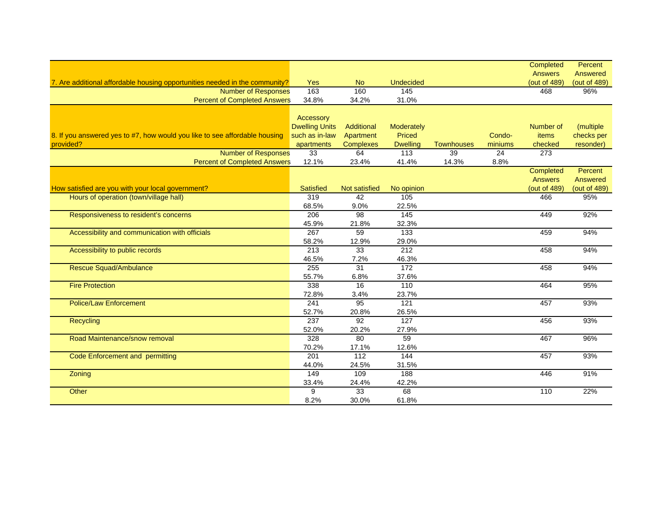|                                                                             |                                    |                      |                  |                   |         | Completed<br><b>Answers</b> | Percent<br>Answered |
|-----------------------------------------------------------------------------|------------------------------------|----------------------|------------------|-------------------|---------|-----------------------------|---------------------|
| 7. Are additional affordable housing opportunities needed in the community? | <b>Yes</b>                         | No.                  | <b>Undecided</b> |                   |         | (out of 489)                | (out of 489)        |
| <b>Number of Responses</b>                                                  | 163                                | 160                  | 145              |                   |         | 468                         | 96%                 |
| <b>Percent of Completed Answers</b>                                         | 34.8%                              | 34.2%                | 31.0%            |                   |         |                             |                     |
|                                                                             |                                    |                      |                  |                   |         |                             |                     |
|                                                                             | Accessory<br><b>Dwelling Units</b> | Additional           | Moderately       |                   |         | Number of                   | (multiple           |
| 8. If you answered yes to #7, how would you like to see affordable housing  | such as in-law                     | Apartment            | Priced           |                   | Condo-  | <b>items</b>                | checks per          |
| provided?                                                                   | apartments                         | <b>Complexes</b>     | <b>Dwelling</b>  | <b>Townhouses</b> | miniums | checked                     | resonder)           |
| <b>Number of Responses</b>                                                  | 33                                 | 64                   | 113              | 39                | 24      | 273                         |                     |
| <b>Percent of Completed Answers</b>                                         | 12.1%                              | 23.4%                | 41.4%            | 14.3%             | 8.8%    |                             |                     |
|                                                                             |                                    |                      |                  |                   |         | Completed                   | Percent             |
|                                                                             |                                    |                      |                  |                   |         | <b>Answers</b>              | Answered            |
| How satisfied are you with your local government?                           | <b>Satisfied</b>                   | <b>Not satisfied</b> | No opinion       |                   |         | (out of 489)                | (out of 489)        |
| Hours of operation (town/village hall)                                      | 319                                | 42                   | 105              |                   |         | 466                         | 95%                 |
|                                                                             | 68.5%                              | 9.0%                 | 22.5%            |                   |         |                             |                     |
| Responsiveness to resident's concerns                                       | 206                                | 98                   | 145              |                   |         | 449                         | 92%                 |
|                                                                             | 45.9%                              | 21.8%                | 32.3%            |                   |         |                             |                     |
| Accessibility and communication with officials                              | 267                                | 59                   | 133              |                   |         | 459                         | 94%                 |
|                                                                             | 58.2%                              | 12.9%                | 29.0%            |                   |         |                             |                     |
| Accessibility to public records                                             | 213                                | 33                   | 212              |                   |         | 458                         | 94%                 |
|                                                                             | 46.5%                              | 7.2%                 | 46.3%            |                   |         |                             |                     |
| <b>Rescue Squad/Ambulance</b>                                               | 255                                | 31                   | 172              |                   |         | 458                         | 94%                 |
|                                                                             | 55.7%                              | 6.8%                 | 37.6%            |                   |         |                             |                     |
| <b>Fire Protection</b>                                                      | 338                                | 16                   | 110              |                   |         | 464                         | 95%                 |
|                                                                             | 72.8%                              | 3.4%                 | 23.7%            |                   |         |                             |                     |
| <b>Police/Law Enforcement</b>                                               | 241                                | 95                   | 121              |                   |         | 457                         | 93%                 |
|                                                                             | 52.7%                              | 20.8%                | 26.5%            |                   |         |                             |                     |
| Recycling                                                                   | 237                                | 92                   | 127              |                   |         | 456                         | 93%                 |
|                                                                             | 52.0%                              | 20.2%                | 27.9%            |                   |         |                             |                     |
| Road Maintenance/snow removal                                               | 328                                | 80                   | 59               |                   |         | 467                         | 96%                 |
|                                                                             | 70.2%                              | 17.1%                | 12.6%            |                   |         |                             |                     |
| Code Enforcement and permitting                                             | 201                                | 112                  | 144              |                   |         | 457                         | 93%                 |
|                                                                             | 44.0%                              | 24.5%                | 31.5%            |                   |         |                             |                     |
| Zoning                                                                      | 149                                | 109                  | 188              |                   |         | 446                         | 91%                 |
|                                                                             | 33.4%                              | 24.4%                | 42.2%            |                   |         |                             |                     |
| Other                                                                       | 9                                  | 33                   | 68               |                   |         | 110                         | 22%                 |
|                                                                             | 8.2%                               | 30.0%                | 61.8%            |                   |         |                             |                     |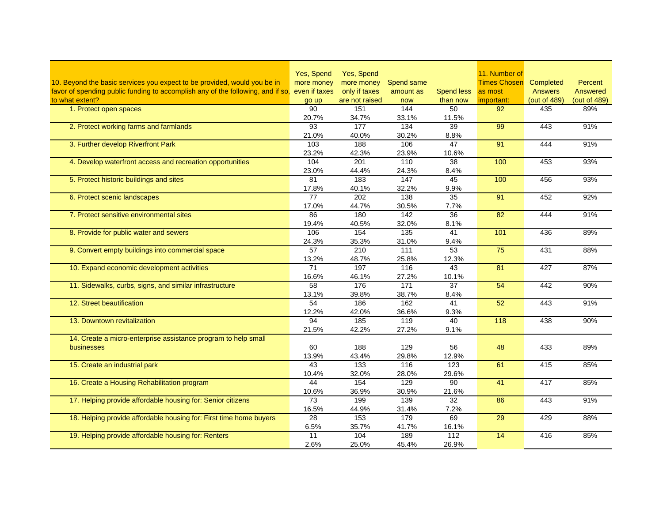|                                                                                 | Yes, Spend      | Yes, Spend            |              |                          | 11. Number of       |                     |                |
|---------------------------------------------------------------------------------|-----------------|-----------------------|--------------|--------------------------|---------------------|---------------------|----------------|
| 10. Beyond the basic services you expect to be provided, would you be in        | more money      | more money            | Spend same   |                          | <b>Times Chosen</b> | Completed           | <b>Percent</b> |
| favor of spending public funding to accomplish any of the following, and if so, | even if taxes   | only if taxes         | amount as    | <b>Spend less</b>        | as most             | <b>Answers</b>      | Answered       |
| to what extent?                                                                 |                 |                       |              |                          |                     |                     | (out of 489)   |
| 1. Protect open spaces                                                          | go up<br>90     | are not raised<br>151 | now<br>144   | than now<br>50           | important:<br>92    | (out of 489)<br>435 | 89%            |
|                                                                                 | 20.7%           | 34.7%                 | 33.1%        | 11.5%                    |                     |                     |                |
| 2. Protect working farms and farmlands                                          | 93              | 177                   | 134          | 39                       | 99                  | 443                 | 91%            |
|                                                                                 | 21.0%           | 40.0%                 | 30.2%        | 8.8%                     |                     |                     |                |
| 3. Further develop Riverfront Park                                              | 103             | 188                   | 106          | 47                       | 91                  | 444                 | 91%            |
|                                                                                 | 23.2%           | 42.3%                 | 23.9%        | 10.6%                    |                     |                     |                |
| 4. Develop waterfront access and recreation opportunities                       | 104             | 201                   | 110          | 38                       | 100                 | 453                 | 93%            |
|                                                                                 | 23.0%           | 44.4%                 |              |                          |                     |                     |                |
| 5. Protect historic buildings and sites                                         | 81              | 183                   | 24.3%<br>147 | 8.4%<br>45               | 100                 | 456                 | 93%            |
|                                                                                 | 17.8%           | 40.1%                 | 32.2%        | 9.9%                     |                     |                     |                |
| 6. Protect scenic landscapes                                                    | $\overline{77}$ | 202                   | 138          | 35                       | 91                  | 452                 | 92%            |
|                                                                                 | 17.0%           | 44.7%                 | 30.5%        | 7.7%                     |                     |                     |                |
| 7. Protect sensitive environmental sites                                        | 86              | 180                   | 142          | 36                       | 82                  | 444                 | 91%            |
|                                                                                 | 19.4%           |                       |              |                          |                     |                     |                |
| 8. Provide for public water and sewers                                          | 106             | 40.5%<br>154          | 32.0%<br>135 | 8.1%<br>41               | 101                 | 436                 | 89%            |
|                                                                                 | 24.3%           | 35.3%                 | 31.0%        | 9.4%                     |                     |                     |                |
| 9. Convert empty buildings into commercial space                                | 57              | 210                   | 111          | 53                       | 75                  | 431                 | 88%            |
|                                                                                 |                 | 48.7%                 |              |                          |                     |                     |                |
| 10. Expand economic development activities                                      | 13.2%<br>71     | 197                   | 25.8%<br>116 | 12.3%<br>$\overline{43}$ | 81                  | 427                 | 87%            |
|                                                                                 | 16.6%           | 46.1%                 | 27.2%        | 10.1%                    |                     |                     |                |
| 11. Sidewalks, curbs, signs, and similar infrastructure                         | 58              | 176                   | 171          | 37                       | $\overline{54}$     | 442                 | 90%            |
|                                                                                 | 13.1%           | 39.8%                 | 38.7%        | 8.4%                     |                     |                     |                |
| 12. Street beautification                                                       | 54              | 186                   | 162          | 41                       | 52                  | 443                 | 91%            |
|                                                                                 | 12.2%           | 42.0%                 | 36.6%        | 9.3%                     |                     |                     |                |
| 13. Downtown revitalization                                                     | 94              | $\frac{1}{185}$       | 119          | 40                       | $\frac{118}{118}$   | 438                 | 90%            |
|                                                                                 | 21.5%           | 42.2%                 | 27.2%        | 9.1%                     |                     |                     |                |
| 14. Create a micro-enterprise assistance program to help small                  |                 |                       |              |                          |                     |                     |                |
| businesses                                                                      | 60              | 188                   | 129          | 56                       | 48                  | 433                 | 89%            |
|                                                                                 | 13.9%           | 43.4%                 | 29.8%        | 12.9%                    |                     |                     |                |
| 15. Create an industrial park                                                   | 43              | 133                   | 116          | 123                      | 61                  | 415                 | 85%            |
|                                                                                 | 10.4%           | 32.0%                 | 28.0%        | 29.6%                    |                     |                     |                |
| 16. Create a Housing Rehabilitation program                                     | 44              | 154                   | 129          | 90                       | 41                  | 417                 | 85%            |
|                                                                                 | 10.6%           | 36.9%                 | 30.9%        | 21.6%                    |                     |                     |                |
| 17. Helping provide affordable housing for: Senior citizens                     | $\overline{73}$ | 199                   | 139          | 32                       | 86                  | 443                 | 91%            |
|                                                                                 | 16.5%           | 44.9%                 | 31.4%        | 7.2%                     |                     |                     |                |
| 18. Helping provide affordable housing for: First time home buyers              | 28              | 153                   | 179          | 69                       | 29                  | 429                 | 88%            |
|                                                                                 | 6.5%            | 35.7%                 | 41.7%        | 16.1%                    |                     |                     |                |
| 19. Helping provide affordable housing for: Renters                             | 11              | 104                   | 189          | 112                      | 14                  | 416                 | 85%            |
|                                                                                 | 2.6%            | 25.0%                 | 45.4%        | 26.9%                    |                     |                     |                |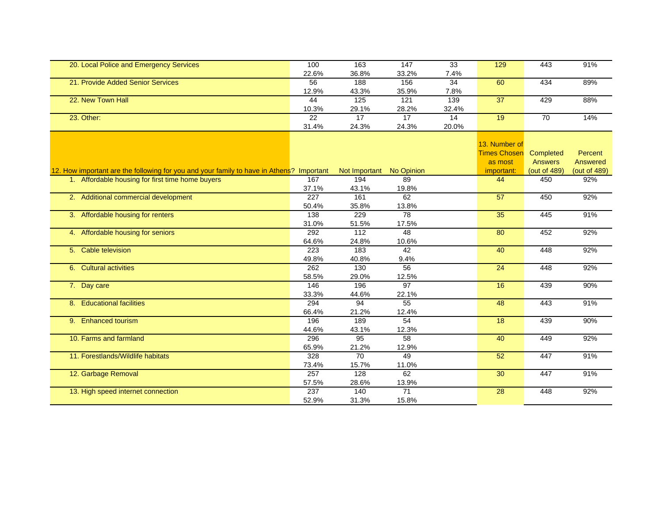| 20. Local Police and Emergency Services                                                  | 100   | 163                      | 147             | 33    | 129                 | 443            | 91%          |
|------------------------------------------------------------------------------------------|-------|--------------------------|-----------------|-------|---------------------|----------------|--------------|
|                                                                                          | 22.6% | 36.8%                    | 33.2%           | 7.4%  |                     |                |              |
| 21. Provide Added Senior Services                                                        | 56    | 188                      | 156             | 34    | 60                  | 434            | 89%          |
|                                                                                          | 12.9% | 43.3%                    | 35.9%           | 7.8%  |                     |                |              |
| 22. New Town Hall                                                                        | 44    | 125                      | $\frac{1}{121}$ | 139   | 37                  | 429            | 88%          |
|                                                                                          | 10.3% | 29.1%                    | 28.2%           | 32.4% |                     |                |              |
| 23. Other:                                                                               | 22    | 17                       | 17              | 14    | 19                  | 70             | 14%          |
|                                                                                          | 31.4% | 24.3%                    | 24.3%           | 20.0% |                     |                |              |
|                                                                                          |       |                          |                 |       |                     |                |              |
|                                                                                          |       |                          |                 |       | 13. Number of       |                |              |
|                                                                                          |       |                          |                 |       | <b>Times Chosen</b> | Completed      | Percent      |
|                                                                                          |       |                          |                 |       | as most             | <b>Answers</b> | Answered     |
| 12. How important are the following for you and your family to have in Athens? Important |       | Not Important No Opinion |                 |       | important:          | (out of 489)   | (out of 489) |
| 1. Affordable housing for first time home buyers                                         | 167   | 194                      | 89              |       | 44                  | 450            | 92%          |
|                                                                                          | 37.1% | 43.1%                    | 19.8%           |       |                     |                |              |
| 2. Additional commercial development                                                     | 227   | 161                      | 62              |       | $\overline{57}$     | 450            | 92%          |
|                                                                                          | 50.4% | 35.8%                    | 13.8%           |       |                     |                |              |
| 3. Affordable housing for renters                                                        | 138   | 229                      | 78              |       | 35                  | 445            | 91%          |
|                                                                                          | 31.0% | 51.5%                    | 17.5%           |       |                     |                |              |
| 4. Affordable housing for seniors                                                        | 292   | 112                      | 48              |       | 80                  | 452            | 92%          |
|                                                                                          | 64.6% | 24.8%                    | 10.6%           |       |                     |                |              |
| 5. Cable television                                                                      | 223   | 183                      | 42              |       | 40                  | 448            | 92%          |
|                                                                                          | 49.8% | 40.8%                    | 9.4%            |       |                     |                |              |
| 6. Cultural activities                                                                   | 262   | 130                      | 56              |       | $\overline{24}$     | 448            | 92%          |
|                                                                                          | 58.5% | 29.0%                    | 12.5%           |       |                     |                |              |
| 7. Day care                                                                              | 146   | 196                      | $\overline{97}$ |       | 16                  | 439            | 90%          |
|                                                                                          | 33.3% | 44.6%                    | 22.1%           |       |                     |                |              |
| 8. Educational facilities                                                                | 294   | 94                       | 55              |       | 48                  | 443            | 91%          |
|                                                                                          | 66.4% | 21.2%                    | 12.4%           |       |                     |                |              |
| 9. Enhanced tourism                                                                      | 196   | 189                      | $\overline{54}$ |       | 18                  | 439            | 90%          |
|                                                                                          | 44.6% | 43.1%                    | 12.3%           |       |                     |                |              |
| 10. Farms and farmland                                                                   | 296   | 95                       | 58              |       | 40                  | 449            | 92%          |
|                                                                                          | 65.9% | 21.2%                    | 12.9%           |       |                     |                |              |
| 11. Forestlands/Wildlife habitats                                                        | 328   | 70                       | 49              |       | $\overline{52}$     | 447            | 91%          |
|                                                                                          | 73.4% | 15.7%                    | 11.0%           |       |                     |                |              |
| 12. Garbage Removal                                                                      | 257   | 128                      | 62              |       | 30                  | 447            | 91%          |
|                                                                                          | 57.5% | 28.6%                    | 13.9%           |       |                     |                |              |
| 13. High speed internet connection                                                       | 237   | 140                      | $\overline{71}$ |       | 28                  | 448            | 92%          |
|                                                                                          | 52.9% | 31.3%                    | 15.8%           |       |                     |                |              |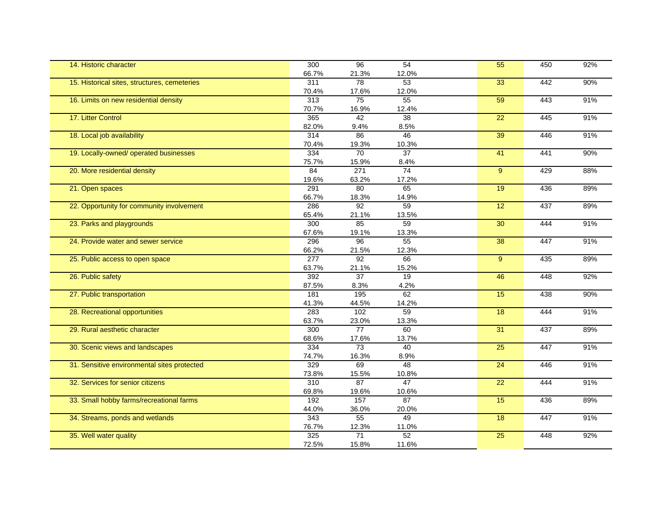| 14. Historic character                       | 300              | $\overline{96}$ | 54          | $\overline{55}$ | 450 | 92% |
|----------------------------------------------|------------------|-----------------|-------------|-----------------|-----|-----|
|                                              | 66.7%            | 21.3%           | 12.0%       |                 |     |     |
| 15. Historical sites, structures, cemeteries | 311              | $\overline{78}$ | 53          | 33              | 442 | 90% |
|                                              | 70.4%            | 17.6%           | 12.0%       |                 |     |     |
| 16. Limits on new residential density        | $\overline{313}$ | 75              | 55          | 59              | 443 | 91% |
|                                              | 70.7%            | 16.9%           | 12.4%       |                 |     |     |
| 17. Litter Control                           | 365              | 42              | 38          | $\overline{22}$ | 445 | 91% |
|                                              | 82.0%            | 9.4%            | 8.5%        |                 |     |     |
| 18. Local job availability                   | 314              | 86              | 46          | 39              | 446 | 91% |
|                                              | 70.4%            | 19.3%           | 10.3%       |                 |     |     |
| 19. Locally-owned/ operated businesses       | 334              | 70              | 37          | 41              | 441 | 90% |
|                                              | 75.7%            | 15.9%           | 8.4%        |                 |     |     |
| 20. More residential density                 | 84               | 271             | 74          | 9 <sup>°</sup>  | 429 | 88% |
|                                              | 19.6%            | 63.2%           | 17.2%       |                 |     |     |
| 21. Open spaces                              | 291              | 80              | 65          | 19              | 436 | 89% |
|                                              | 66.7%            | 18.3%           | 14.9%       |                 |     |     |
| 22. Opportunity for community involvement    | 286              | 92              | 59          | 12              | 437 | 89% |
|                                              | 65.4%            | 21.1%           | 13.5%       |                 |     |     |
| 23. Parks and playgrounds                    | 300              | 85              | 59          | 30              | 444 | 91% |
|                                              | 67.6%            | 19.1%           | 13.3%       |                 |     |     |
| 24. Provide water and sewer service          | 296              | 96              | 55          | 38              | 447 | 91% |
|                                              | 66.2%            | 21.5%           | 12.3%       |                 |     |     |
| 25. Public access to open space              | $\overline{277}$ | $\overline{92}$ | 66          | 9               | 435 | 89% |
|                                              | 63.7%            | 21.1%           | 15.2%       |                 |     |     |
|                                              | 392              | $\overline{37}$ | 19          | 46              | 448 | 92% |
| 26. Public safety                            |                  |                 |             |                 |     |     |
|                                              | 87.5%            | 8.3%            | 4.2%<br>62  |                 |     |     |
| 27. Public transportation                    | 181              | 195             |             | 15              | 438 | 90% |
|                                              | 41.3%            | 44.5%           | 14.2%<br>59 |                 |     |     |
| 28. Recreational opportunities               | 283              | 102             |             | 18              | 444 | 91% |
|                                              | 63.7%            | 23.0%           | 13.3%       |                 |     |     |
| 29. Rural aesthetic character                | 300              | 77              | 60          | 31              | 437 | 89% |
|                                              | 68.6%            | 17.6%           | 13.7%       |                 |     |     |
| 30. Scenic views and landscapes              | $\frac{1}{334}$  | 73              | 40          | $\overline{25}$ | 447 | 91% |
|                                              | 74.7%            | 16.3%           | 8.9%        |                 |     |     |
| 31. Sensitive environmental sites protected  | 329              | 69              | 48          | 24              | 446 | 91% |
|                                              | 73.8%            | 15.5%           | 10.8%       |                 |     |     |
| 32. Services for senior citizens             | 310              | $\overline{87}$ | 47          | 22              | 444 | 91% |
|                                              | 69.8%            | 19.6%           | 10.6%       |                 |     |     |
| 33. Small hobby farms/recreational farms     | 192              | 157             | 87          | 15              | 436 | 89% |
|                                              | 44.0%            | 36.0%           | 20.0%       |                 |     |     |
| 34. Streams, ponds and wetlands              | $\overline{343}$ | 55              | 49          | 18              | 447 | 91% |
|                                              | 76.7%            | 12.3%           | 11.0%       |                 |     |     |
| 35. Well water quality                       | 325              | 71              | 52          | $\overline{25}$ | 448 | 92% |
|                                              | 72.5%            | 15.8%           | 11.6%       |                 |     |     |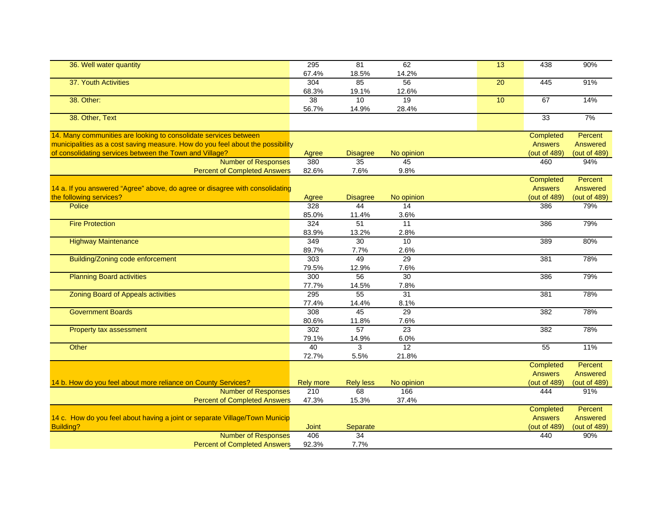| 36. Well water quantity                                                        | 295              | 81                       | 62              | 13 | 438            | 90%             |
|--------------------------------------------------------------------------------|------------------|--------------------------|-----------------|----|----------------|-----------------|
|                                                                                | 67.4%            | 18.5%                    | 14.2%           |    |                |                 |
| 37. Youth Activities                                                           | 304              | 85                       | 56              | 20 | 445            | 91%             |
|                                                                                | 68.3%            | 19.1%                    | 12.6%           |    |                |                 |
| 38. Other:                                                                     | $\overline{38}$  | 10                       | 19              | 10 | 67             | 14%             |
|                                                                                | 56.7%            | 14.9%                    | 28.4%           |    |                |                 |
| 38. Other, Text                                                                |                  |                          |                 |    | 33             | 7%              |
|                                                                                |                  |                          |                 |    |                |                 |
| 14. Many communities are looking to consolidate services between               |                  |                          |                 |    | Completed      | Percent         |
| municipalities as a cost saving measure. How do you feel about the possibility |                  |                          |                 |    | <b>Answers</b> | <b>Answered</b> |
| of consolidating services between the Town and Village?                        | Agree            | <b>Disagree</b>          | No opinion      |    | (out of 489)   | (out of 489)    |
| <b>Number of Responses</b>                                                     | 380              | $\overline{35}$          | 45              |    | 460            | 94%             |
| <b>Percent of Completed Answers</b>                                            | 82.6%            | 7.6%                     | 9.8%            |    |                |                 |
|                                                                                |                  |                          |                 |    | Completed      | Percent         |
| 14 a. If you answered "Agree" above, do agree or disagree with consolidating   |                  |                          |                 |    | <b>Answers</b> | <b>Answered</b> |
| the following services?                                                        | Agree            | <b>Disagree</b>          | No opinion      |    | (out of 489)   | (out of 489)    |
| Police                                                                         | 328              | 44                       | $\overline{14}$ |    | 386            | 79%             |
|                                                                                | 85.0%            | 11.4%                    | 3.6%            |    |                |                 |
| <b>Fire Protection</b>                                                         | 324              | $\overline{51}$          | $\overline{11}$ |    | 386            | 79%             |
|                                                                                | 83.9%            | 13.2%                    | 2.8%            |    |                |                 |
| <b>Highway Maintenance</b>                                                     | 349              | $\overline{30}$          | 10              |    | 389            | 80%             |
|                                                                                | 89.7%            | 7.7%                     | 2.6%            |    |                |                 |
| Building/Zoning code enforcement                                               | 303              | 49                       | 29              |    | 381            | 78%             |
|                                                                                | 79.5%            | 12.9%                    | 7.6%            |    |                |                 |
| <b>Planning Board activities</b>                                               | 300              | $\overline{56}$          | $\overline{30}$ |    | 386            | 79%             |
|                                                                                | 77.7%            | 14.5%                    | 7.8%            |    |                |                 |
| <b>Zoning Board of Appeals activities</b>                                      | 295              | 55                       | 31              |    | 381            | 78%             |
|                                                                                | 77.4%            |                          | 8.1%            |    |                |                 |
| <b>Government Boards</b>                                                       | $\overline{308}$ | 14.4%<br>$\overline{45}$ | 29              |    | 382            | 78%             |
|                                                                                |                  |                          |                 |    |                |                 |
|                                                                                | 80.6%            | 11.8%                    | 7.6%            |    |                |                 |
| Property tax assessment                                                        | 302              | 57                       | $\overline{23}$ |    | 382            | 78%             |
|                                                                                | 79.1%            | 14.9%                    | 6.0%<br>12      |    |                |                 |
| Other                                                                          | 40               | $\overline{3}$           |                 |    | 55             | 11%             |
|                                                                                | 72.7%            | 5.5%                     | 21.8%           |    |                |                 |
|                                                                                |                  |                          |                 |    | Completed      | Percent         |
|                                                                                |                  |                          |                 |    | <b>Answers</b> | Answered        |
| 14 b. How do you feel about more reliance on County Services?                  | <b>Rely more</b> | <b>Rely less</b>         | No opinion      |    | (out of 489)   | (out of 489)    |
| <b>Number of Responses</b>                                                     | 210              | 68                       | 166             |    | 444            | 91%             |
| <b>Percent of Completed Answers</b>                                            | 47.3%            | 15.3%                    | 37.4%           |    |                |                 |
|                                                                                |                  |                          |                 |    | Completed      | Percent         |
| 14 c. How do you feel about having a joint or separate Village/Town Municip    |                  |                          |                 |    | <b>Answers</b> | Answered        |
| Building?                                                                      | <b>Joint</b>     | Separate                 |                 |    | (out of 489)   | (out of 489)    |
| <b>Number of Responses</b>                                                     | 406              | 34                       |                 |    | 440            | 90%             |
| <b>Percent of Completed Answers</b>                                            | 92.3%            | 7.7%                     |                 |    |                |                 |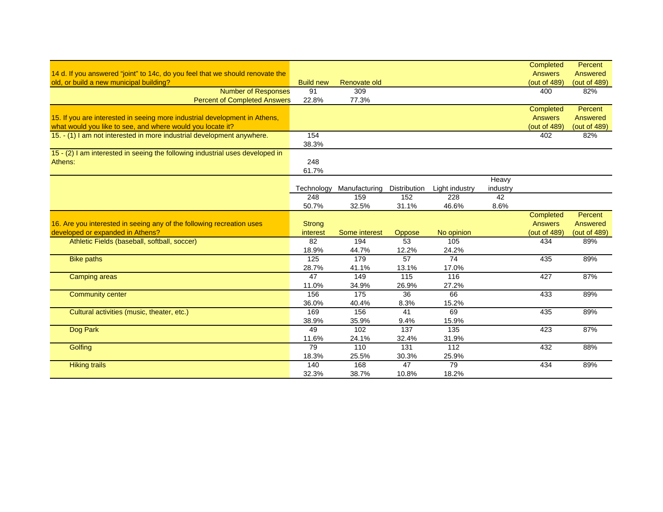|                                                                               |                  |                   |              |                |          | Completed      | Percent      |
|-------------------------------------------------------------------------------|------------------|-------------------|--------------|----------------|----------|----------------|--------------|
| 14 d. If you answered "joint" to 14c, do you feel that we should renovate the |                  |                   |              |                |          | <b>Answers</b> | Answered     |
| old, or build a new municipal building?                                       | <b>Build new</b> | Renovate old      |              |                |          | (out of 489)   | (out of 489) |
| <b>Number of Responses</b>                                                    | 91               | 309               |              |                |          | 400            | 82%          |
| <b>Percent of Completed Answers</b>                                           | 22.8%            | 77.3%             |              |                |          |                |              |
|                                                                               |                  |                   |              |                |          | Completed      | Percent      |
| 15. If you are interested in seeing more industrial development in Athens,    |                  |                   |              |                |          | <b>Answers</b> | Answered     |
| what would you like to see, and where would you locate it?                    |                  |                   |              |                |          | (out of 489)   | (out of 489) |
| 15. - (1) I am not interested in more industrial development anywhere.        | 154              |                   |              |                |          | 402            | 82%          |
|                                                                               | 38.3%            |                   |              |                |          |                |              |
| 15 - (2) I am interested in seeing the following industrial uses developed in |                  |                   |              |                |          |                |              |
| Athens:                                                                       | 248              |                   |              |                |          |                |              |
|                                                                               | 61.7%            |                   |              |                |          |                |              |
|                                                                               |                  |                   |              |                | Heavy    |                |              |
|                                                                               | Technology       | Manufacturing     | Distribution | Light industry | industry |                |              |
|                                                                               | 248              | 159               | 152          | 228            | 42       |                |              |
|                                                                               | 50.7%            | 32.5%             | 31.1%        | 46.6%          | 8.6%     |                |              |
|                                                                               |                  |                   |              |                |          | Completed      | Percent      |
| 16. Are you interested in seeing any of the following recreation uses         | <b>Strong</b>    |                   |              |                |          | <b>Answers</b> | Answered     |
| developed or expanded in Athens?                                              | interest         | Some interest     | Oppose       | No opinion     |          | (out of 489)   | (out of 489) |
| Athletic Fields (baseball, softball, soccer)                                  | 82               | 194               | 53           | 105            |          | 434            | 89%          |
|                                                                               | 18.9%            | 44.7%             | 12.2%        | 24.2%          |          |                |              |
| <b>Bike paths</b>                                                             | 125              | 179               | 57           | 74             |          | 435            | 89%          |
|                                                                               | 28.7%            | 41.1%             | 13.1%        | 17.0%          |          |                |              |
| <b>Camping areas</b>                                                          | 47               | 149               | 115          | 116            |          | 427            | 87%          |
|                                                                               | 11.0%            | 34.9%             | 26.9%        | 27.2%          |          |                |              |
| <b>Community center</b>                                                       | 156              | $\frac{175}{175}$ | 36           | 66             |          | 433            | 89%          |
|                                                                               | 36.0%            | 40.4%             | 8.3%         | 15.2%          |          |                |              |
| Cultural activities (music, theater, etc.)                                    |                  |                   |              |                |          |                |              |
|                                                                               | 169              | 156               | 41           | 69             |          | 435            | 89%          |
|                                                                               | 38.9%            | 35.9%             | 9.4%         | 15.9%          |          |                |              |
| Dog Park                                                                      | 49               | 102               | 137          | 135            |          | 423            | 87%          |
|                                                                               | 11.6%            | 24.1%             | 32.4%        | 31.9%          |          |                |              |
| Golfing                                                                       | 79               | 110               | 131          | 112            |          | 432            | 88%          |
|                                                                               | 18.3%            | 25.5%             | 30.3%        | 25.9%          |          |                |              |
| <b>Hiking trails</b>                                                          | 140              | 168               | 47           | 79             |          | 434            | 89%          |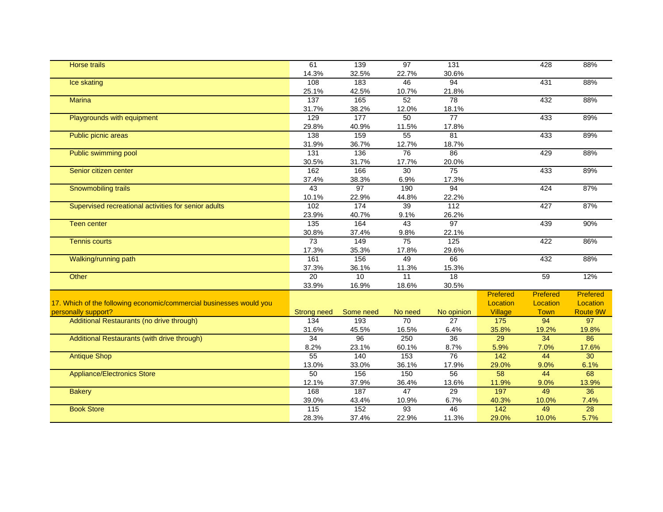| <b>Horse trails</b>                                                 | 61                 | 139       | 97              | 131             |                  | 428         | 88%      |
|---------------------------------------------------------------------|--------------------|-----------|-----------------|-----------------|------------------|-------------|----------|
|                                                                     | 14.3%              | 32.5%     | 22.7%           | 30.6%           |                  |             |          |
| Ice skating                                                         | 108                | 183       | 46              | 94              |                  | 431         | 88%      |
|                                                                     | 25.1%              | 42.5%     | 10.7%           | 21.8%           |                  |             |          |
| <b>Marina</b>                                                       | 137                | 165       | $\overline{52}$ | $\overline{78}$ |                  | 432         | 88%      |
|                                                                     | 31.7%              | 38.2%     | 12.0%           | 18.1%           |                  |             |          |
| Playgrounds with equipment                                          | 129                | 177       | 50              | $\overline{77}$ |                  | 433         | 89%      |
|                                                                     | 29.8%              | 40.9%     | 11.5%           | 17.8%           |                  |             |          |
| Public picnic areas                                                 | 138                | 159       | 55              | $\overline{81}$ |                  | 433         | 89%      |
|                                                                     | 31.9%              | 36.7%     | 12.7%           | 18.7%           |                  |             |          |
| Public swimming pool                                                | $\frac{1}{131}$    | 136       | 76              | 86              |                  | 429         | 88%      |
|                                                                     | 30.5%              | 31.7%     | 17.7%           | 20.0%           |                  |             |          |
| Senior citizen center                                               | 162                | 166       | 30              | 75              |                  | 433         | 89%      |
|                                                                     | 37.4%              | 38.3%     | 6.9%            | 17.3%           |                  |             |          |
| Snowmobiling trails                                                 | 43                 | 97        | 190             | $\overline{94}$ |                  | 424         | 87%      |
|                                                                     | 10.1%              | 22.9%     | 44.8%           | 22.2%           |                  |             |          |
| Supervised recreational activities for senior adults                | 102                | 174       | 39              | 112             |                  | 427         | 87%      |
|                                                                     | 23.9%              | 40.7%     | 9.1%            | 26.2%           |                  |             |          |
| <b>Teen center</b>                                                  | 135                | 164       | 43              | 97              |                  | 439         | 90%      |
|                                                                     | 30.8%              | 37.4%     | 9.8%            | 22.1%           |                  |             |          |
| <b>Tennis courts</b>                                                | 73                 | 149       | 75              | 125             |                  | 422         | 86%      |
|                                                                     | 17.3%              | 35.3%     | 17.8%           | 29.6%           |                  |             |          |
| Walking/running path                                                | 161                | 156       | 49              | 66              |                  | 432         | 88%      |
|                                                                     | 37.3%              | 36.1%     | 11.3%           | 15.3%           |                  |             |          |
| Other                                                               | 20                 | 10        | 11              | 18              |                  | 59          | 12%      |
|                                                                     | 33.9%              | 16.9%     | 18.6%           | 30.5%           |                  |             |          |
|                                                                     |                    |           |                 |                 | Prefered         | Prefered    | Prefered |
| 17. Which of the following economic/commercial businesses would you |                    |           |                 |                 | Location         | Location    | Location |
| personally support?                                                 | <b>Strong need</b> | Some need | No need         | No opinion      | Village          | <b>Town</b> | Route 9W |
| Additional Restaurants (no drive through)                           | 134                | 193       | $\overline{70}$ | 27              | $\frac{175}{2}$  | 94          | 97       |
|                                                                     | 31.6%              | 45.5%     | 16.5%           | 6.4%            | 35.8%            | 19.2%       | 19.8%    |
| Additional Restaurants (with drive through)                         | 34                 | 96        | 250             | 36              | 29               | 34          | 86       |
|                                                                     | 8.2%               | 23.1%     | 60.1%           | 8.7%            | 5.9%             | 7.0%        | 17.6%    |
| <b>Antique Shop</b>                                                 | 55                 | 140       | 153             | 76              | $\overline{142}$ | 44          | 30       |
|                                                                     | 13.0%              | 33.0%     | 36.1%           | 17.9%           | 29.0%            | 9.0%        | 6.1%     |
| <b>Appliance/Electronics Store</b>                                  | 50                 | 156       | 150             | 56              | 58               | 44          | 68       |
|                                                                     | 12.1%              | 37.9%     | 36.4%           | 13.6%           | 11.9%            | 9.0%        | 13.9%    |
| <b>Bakery</b>                                                       | 168                | 187       | 47              | 29              | 197              | 49          | 36       |
|                                                                     | 39.0%              | 43.4%     | 10.9%           | 6.7%            | 40.3%            | 10.0%       | 7.4%     |
| <b>Book Store</b>                                                   | $\frac{115}{115}$  | 152       | 93              | 46              | $\overline{142}$ | 49          | 28       |
|                                                                     | 28.3%              | 37.4%     | 22.9%           | 11.3%           | 29.0%            | 10.0%       | 5.7%     |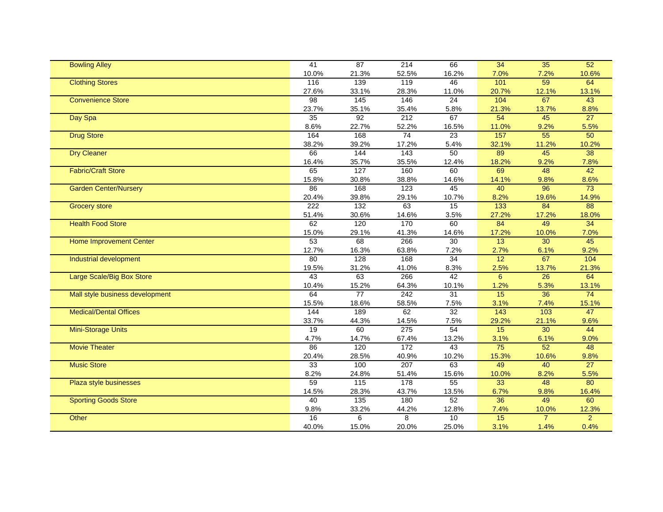| <b>Bowling Alley</b>            | $\overline{41}$ | 87                | $\overline{214}$ | 66              | 34               | 35             | 52             |
|---------------------------------|-----------------|-------------------|------------------|-----------------|------------------|----------------|----------------|
|                                 | 10.0%           | 21.3%             | 52.5%            | 16.2%           | 7.0%             | 7.2%           | 10.6%          |
| <b>Clothing Stores</b>          | 116             | 139               | 119              | 46              | 101              | 59             | 64             |
|                                 | 27.6%           | 33.1%             | 28.3%            | 11.0%           | 20.7%            | 12.1%          | 13.1%          |
| <b>Convenience Store</b>        | 98              | 145               | 146              | 24              | 104              | 67             | 43             |
|                                 | 23.7%           | 35.1%             | 35.4%            | 5.8%            | 21.3%            | 13.7%          | 8.8%           |
| Day Spa                         | 35              | 92                | 212              | 67              | 54               | 45             | 27             |
|                                 | 8.6%            | 22.7%             | 52.2%            | 16.5%           | 11.0%            | 9.2%           | 5.5%           |
| <b>Drug Store</b>               | 164             | 168               | 74               | 23              | 157              | 55             | 50             |
|                                 | 38.2%           | 39.2%             | 17.2%            | 5.4%            | 32.1%            | 11.2%          | 10.2%          |
| <b>Dry Cleaner</b>              | 66              | 144               | $\frac{1}{43}$   | 50              | 89               | 45             | 38             |
|                                 | 16.4%           | 35.7%             | 35.5%            | 12.4%           | 18.2%            | 9.2%           | 7.8%           |
| <b>Fabric/Craft Store</b>       | 65              | 127               | 160              | 60              | 69               | 48             | 42             |
|                                 | 15.8%           | 30.8%             | 38.8%            | 14.6%           | 14.1%            | 9.8%           | 8.6%           |
| <b>Garden Center/Nursery</b>    | 86              | 168               | 123              | 45              | 40               | 96             | 73             |
|                                 | 20.4%           | 39.8%             | 29.1%            | 10.7%           | 8.2%             | 19.6%          | 14.9%          |
| <b>Grocery store</b>            | 222             | 132               | 63               | 15              | $\overline{133}$ | 84             | 88             |
|                                 | 51.4%           | 30.6%             | 14.6%            | 3.5%            | 27.2%            | 17.2%          | 18.0%          |
| <b>Health Food Store</b>        | 62              | 120               | 170              | 60              | 84               | 49             | 34             |
|                                 | 15.0%           | 29.1%             | 41.3%            | 14.6%           | 17.2%            | 10.0%          | 7.0%           |
| <b>Home Improvement Center</b>  | 53              | 68                | 266              | $\overline{30}$ | 13               | 30             | 45             |
|                                 | 12.7%           | 16.3%             | 63.8%            | 7.2%            | 2.7%             | 6.1%           | 9.2%           |
| Industrial development          | 80              | 128               | 168              | 34              | 12               | 67             | 104            |
|                                 | 19.5%           | 31.2%             | 41.0%            | 8.3%            | 2.5%             | 13.7%          | 21.3%          |
| Large Scale/Big Box Store       | 43              | 63                | 266              | 42              | $6\phantom{a}$   | 26             | 64             |
|                                 | 10.4%           | 15.2%             | 64.3%            | 10.1%           | 1.2%             | 5.3%           | 13.1%          |
| Mall style business development | 64              | 77                | 242              | 31              | 15               | 36             | 74             |
|                                 | 15.5%           | 18.6%             | 58.5%            | 7.5%            | 3.1%             | 7.4%           | 15.1%          |
| <b>Medical/Dental Offices</b>   | 144             | 189               | 62               | $\overline{32}$ | $\overline{143}$ | $\frac{10}{3}$ | 47             |
|                                 | 33.7%           | 44.3%             | 14.5%            | 7.5%            | 29.2%            | 21.1%          | 9.6%           |
| Mini-Storage Units              | 19              | 60                | 275              | 54              | 15               | 30             | 44             |
|                                 | 4.7%            | 14.7%             | 67.4%            | 13.2%           | 3.1%             | 6.1%           | 9.0%           |
| <b>Movie Theater</b>            | 86              | 120               | $\frac{1}{172}$  | 43              | $\overline{75}$  | 52             | 48             |
|                                 | 20.4%           | 28.5%             | 40.9%            | 10.2%           | 15.3%            | 10.6%          | 9.8%           |
| <b>Music Store</b>              | 33              | 100               | 207              | 63              | 49               | 40             | 27             |
|                                 | 8.2%            | 24.8%             | 51.4%            | 15.6%           | 10.0%            | 8.2%           | 5.5%           |
| Plaza style businesses          | 59              | $\frac{115}{115}$ | 178              | 55              | 33               | 48             | 80             |
|                                 | 14.5%           | 28.3%             | 43.7%            | 13.5%           | 6.7%             | 9.8%           | 16.4%          |
| <b>Sporting Goods Store</b>     | 40              | 135               | 180              | 52              | 36               | 49             | 60             |
|                                 | 9.8%            | 33.2%             | 44.2%            | 12.8%           | 7.4%             | 10.0%          | 12.3%          |
| Other                           | 16              | 6                 | 8                | 10              | 15               | $\overline{7}$ | $\overline{2}$ |
|                                 | 40.0%           | 15.0%             | 20.0%            | 25.0%           | 3.1%             | 1.4%           | 0.4%           |